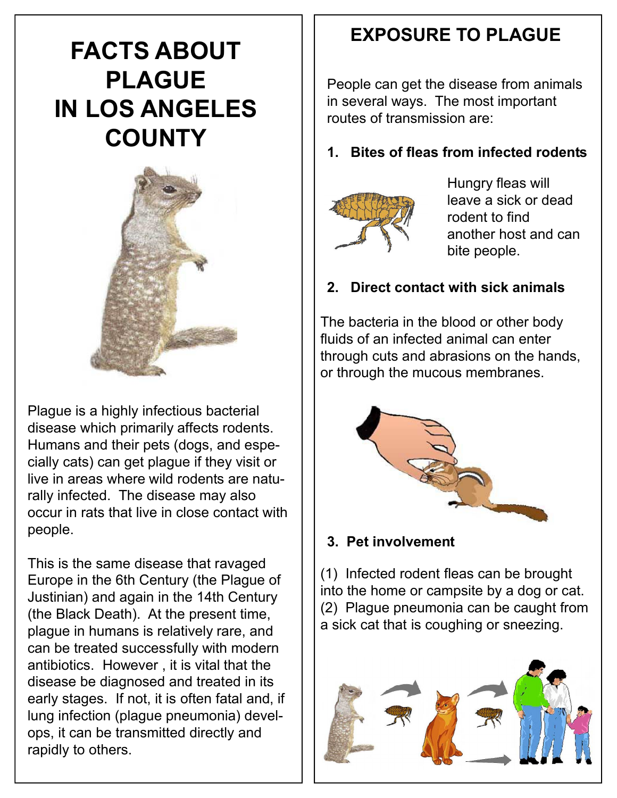# **FACTS ABOUT PLAGUE IN LOS ANGELES COUNTY**



Plague is a highly infectious bacterial disease which primarily affects rodents. Humans and their pets (dogs, and especially cats) can get plague if they visit or live in areas where wild rodents are naturally infected. The disease may also occur in rats that live in close contact with people.

This is the same disease that ravaged Europe in the 6th Century (the Plague of Justinian) and again in the 14th Century (the Black Death). At the present time, plague in humans is relatively rare, and can be treated successfully with modern antibiotics. However , it is vital that the disease be diagnosed and treated in its early stages. If not, it is often fatal and, if lung infection (plague pneumonia) develops, it can be transmitted directly and rapidly to others.

# **EXPOSURE TO PLAGUE**

People can get the disease from animals in several ways. The most important routes of transmission are:

**1. Bites of fleas from infected rodents**



Hungry fleas will leave a sick or dead rodent to find another host and can bite people.

### **2. Direct contact with sick animals**

The bacteria in the blood or other body fluids of an infected animal can enter through cuts and abrasions on the hands, or through the mucous membranes.



#### **3. Pet involvement**

(1) Infected rodent fleas can be brought into the home or campsite by a dog or cat. (2) Plague pneumonia can be caught from a sick cat that is coughing or sneezing.

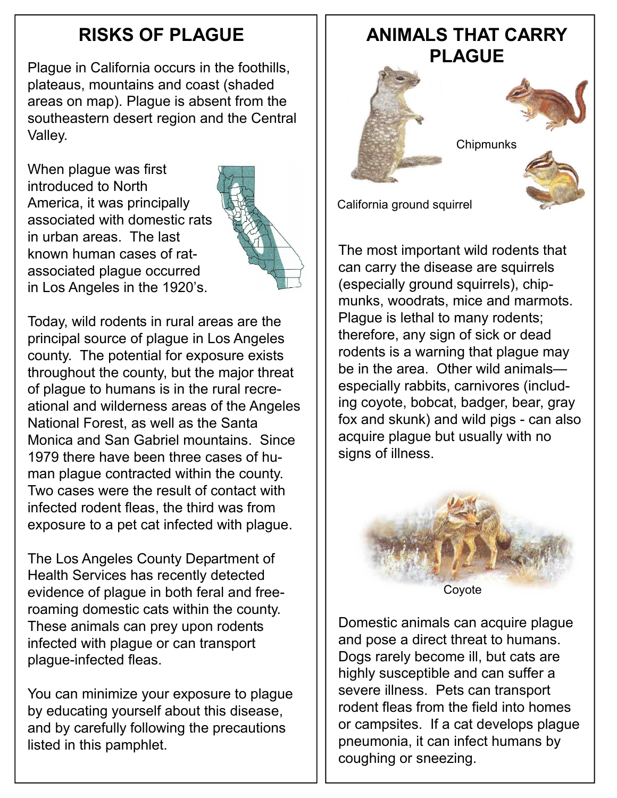Plague in California occurs in the foothills, plateaus, mountains and coast (shaded areas on map). Plague is absent from the southeastern desert region and the Central Valley.

When plague was first introduced to North America, it was principally associated with domestic rats in urban areas. The last known human cases of ratassociated plague occurred in Los Angeles in the 1920's.



Today, wild rodents in rural areas are the principal source of plague in Los Angeles county. The potential for exposure exists throughout the county, but the major threat of plague to humans is in the rural recreational and wilderness areas of the Angeles National Forest, as well as the Santa Monica and San Gabriel mountains. Since 1979 there have been three cases of human plague contracted within the county. Two cases were the result of contact with infected rodent fleas, the third was from exposure to a pet cat infected with plague.

The Los Angeles County Department of Health Services has recently detected evidence of plague in both feral and freeroaming domestic cats within the county. These animals can prey upon rodents infected with plague or can transport plague-infected fleas.

You can minimize your exposure to plague by educating yourself about this disease, and by carefully following the precautions listed in this pamphlet.

# **RISKS OF PLAGUE ANIMALS THAT CARRY PLAGUE**





**Chipmunks** 

California ground squirrel

The most important wild rodents that can carry the disease are squirrels (especially ground squirrels), chipmunks, woodrats, mice and marmots. Plague is lethal to many rodents; therefore, any sign of sick or dead rodents is a warning that plague may be in the area. Other wild animals especially rabbits, carnivores (including coyote, bobcat, badger, bear, gray fox and skunk) and wild pigs - can also acquire plague but usually with no signs of illness.



Domestic animals can acquire plague and pose a direct threat to humans. Dogs rarely become ill, but cats are highly susceptible and can suffer a severe illness. Pets can transport rodent fleas from the field into homes or campsites. If a cat develops plague pneumonia, it can infect humans by coughing or sneezing.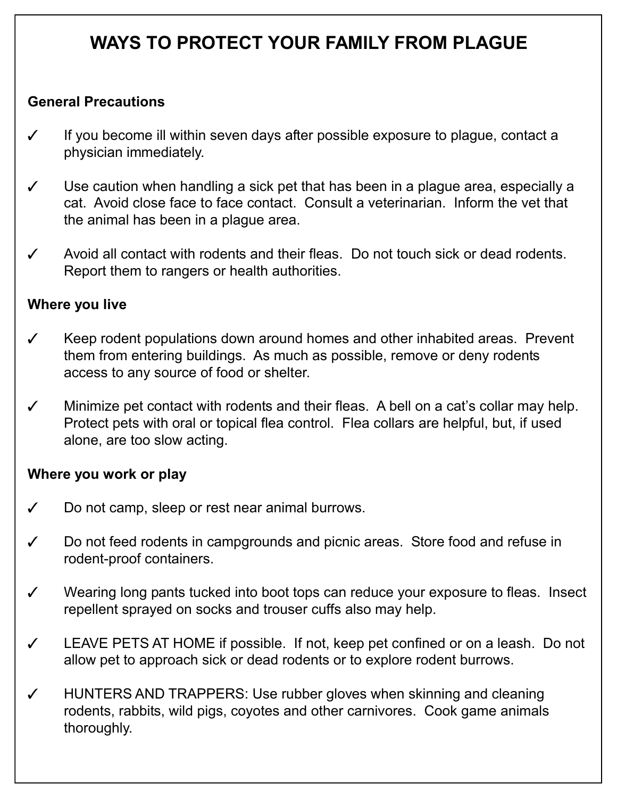# **WAYS TO PROTECT YOUR FAMILY FROM PLAGUE**

#### **General Precautions**

- $\checkmark$  If you become ill within seven days after possible exposure to plague, contact a physician immediately.
- $\checkmark$  Use caution when handling a sick pet that has been in a plague area, especially a cat. Avoid close face to face contact. Consult a veterinarian. Inform the vet that the animal has been in a plague area.
- $\checkmark$  Avoid all contact with rodents and their fleas. Do not touch sick or dead rodents. Report them to rangers or health authorities.

#### **Where you live**

- $\checkmark$  Keep rodent populations down around homes and other inhabited areas. Prevent them from entering buildings. As much as possible, remove or deny rodents access to any source of food or shelter.
- $\checkmark$  Minimize pet contact with rodents and their fleas. A bell on a cat's collar may help. Protect pets with oral or topical flea control. Flea collars are helpful, but, if used alone, are too slow acting.

#### **Where you work or play**

- $\checkmark$  Do not camp, sleep or rest near animal burrows.
- $\checkmark$  Do not feed rodents in campgrounds and picnic areas. Store food and refuse in rodent-proof containers.
- $\checkmark$  Wearing long pants tucked into boot tops can reduce your exposure to fleas. Insect repellent sprayed on socks and trouser cuffs also may help.
- $\checkmark$  LEAVE PETS AT HOME if possible. If not, keep pet confined or on a leash. Do not allow pet to approach sick or dead rodents or to explore rodent burrows.
- HUNTERS AND TRAPPERS: Use rubber gloves when skinning and cleaning rodents, rabbits, wild pigs, coyotes and other carnivores. Cook game animals thoroughly.